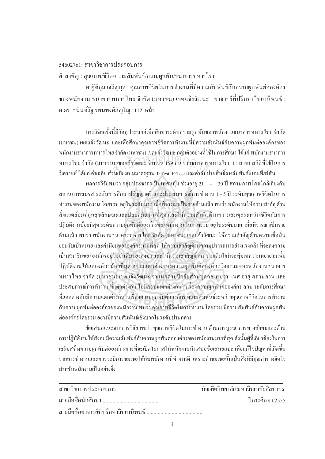## $54602761 \cdot \pi$ าขาวิชาการประกอบการ

คำสำคัญ : คุณภาพ/ชีวิต/ความสัมพันธ์/ความผูกพัน/ธนาคารทหารไทย

ือาจิติกล เจริญกล : คณภาพชีวิตในการทำงานที่มีความสัมพันธ์กับความผกพันต่อองค์กร ของพนักงาน ธนาคารทหารไทย จำกัด (มหาชน) เขตแจ้งวัฒนะ อาจารย์ที่ปรึกษาวิทยาบิพบร์ · ือ.คร. ธนินท์รัฐ รัตนพงศ์ภิญโญ. 112 หน้า.

การวิจัยครั้งนี้มีวัตถุประสงค์เพื่อศึกษาระดับความผูกพันของพนักงานธนาคารทหารไทย จำกัด ´Ê (มหาชน) เขตแจ้งวัฒนะ และเพื่อศึกษาคุณภาพชีวิตการทำงานที่มีความสัมพันธ์กับความผูกพันต่อองค์กรของ พนักงานธนาคารทหารไทย จำกัด (มหาชน) เขตแจ้งวัฒนะ กลุ่มตัวอย่างที่ใช้ในการศึกษา ได้แก่ พนักงานธนาคาร ทหารไทย จำกัด (มหาชน) เขตแจ้งวัฒนะ จำนวน 159 คน จากธนาคารทหารไทย 11 สาขา สถิติที่ใช้ในการ วิเคราะห์ ได้แก่ ค่าเฉลี่ย ส่วนเบี่ยงเบนมาตรฐาน T-Test F-Test และค่าสัมประสิทธิ์สหสัมพันธ์แบบเพียร์สัน ¸É ·Í สำนกัหอส<sup>ม</sup> ุดกลา<sup>ง</sup>

้ ผลการวิจัยพบว่า กล่มประชากรเป็นเพศหญิง ช่วงอาย 21 – 30 ปี สถานภาพโสคใกล้เคียงกับ สถานภาพสมรส ระดับการศึกษาปริญญาตรี และประสบการณ์การทำงาน 1 - 5 ปี ระดับคุณภาพชีวิตในการ ทำงานของพนักงาน โดยรวม อยู่ในระดับมาก เมื่อพิจารณาเป็นรายด้านแล้ว พบว่า พนักงานให้ความสำคัญด้าน ºÉ สิ่งแวคล้อมที่ถกสขลักษณะและปลอคภัยมากที่สุด และให้ความสำคัญค้านความสมคลระหว่างชีวิตกับการ ปฏิบัติงานน้อยที่สุด ระดับความผูกพันต่อองค์กรของพนักงาน ในภาพรวม อยู่ในระดับมาก เมื่อพิจารณาเป็นราย ด้านแล้ว พบว่า พนักงานธนาคารทหารไทย จำกัด (มหาชน) เขตแจ้งวัฒนะ ให้ความสำคัญด้านความเชื่อมั่น ºÉ ื ยอมรับเป้าหมาย และค่านิยมขององค์กรมากที่สุด ให้ความสำคัญค้านความปรารถนาอย่างแรงกล้า ที่จะคงความ เป็นสมาชิกขององค์กรอยู่ในอันดับรองลงมา และให้ความสำคัญด้านความเต็มใจที่จะทุ่มเทความพยายามเพื่อ ·ปฏิบัติงานให้แก่องค์กรน้อยที่สุด ความแตกต่างของความผกพันต่อองค์กรโดยรวมของพนักงานธนาคาร ทหารไทย จำกัด (มหาชน) เขตแจ้งวัฒนะ จำแนกตามปัจจัยส่วนบุคคล พบว่า เพศ อายุ สถานภาพ และ ประสบการณ์การทำงาน ที่แตกต่างกัน ไม่มีความแตกต่างกันในเรื่องความผูกพันต่อองค์กร ส่วน ระดับการศึกษา ที่แตกต่างกันมีความแตกต่างกันในเรื่องความผูกพันต่อองค์กร ความสัมพันธ์ระหว่างคุณภาพชีวิตในการทำงาน ้ กับความผกพันต่อองค์กรของพนักงาน พบว่า คุณภาพชีวิตในการทำงาน โดยรวม มีความสัมพันธ์กับความผกพัน ต่อองค์กร โดยราบ อย่างบีคาาบสับพับธ์เชิงบากใบระดับปาบกลาง

ข้อเสนอแนะจากการวิจัย พบว่า คุณภาพชีวิตในการทำงาน ด้านการบูรณาการทางสังคมและด้าน การปฏิบัติงานให้สังคมมีความสัมพันธ์กับความผูกพันต่อองค์กรของพนักงานมากที่สุด ดังนั้นผู้ที่เกี่ยวข้องในการ ´Ê │ เสริมสร้างความผูกพันต่อองค์กรควรที่จะเปิดโอกาสให้พนักงานนำเสนอข้อเสนอแนะ เพื่อแก้ไขปัญหาที่เกิดขึ้น ºÉ จากการทำงานและควรจะมีการชมเชยให้กับพนักงานที่ทำงานดี เพราะคำชมเชยนั้นเป็นสิ่งที่มีคุณค่าทางจิตใจ ้<br>สำหรับพบักงาบเป็บอย่างยิ่ง

| สาขาวิชาการประกอบการ                  | ำเันฑิตวิทยาลัย มหาวิทยาลัยศิลปากร |
|---------------------------------------|------------------------------------|
|                                       | ์ ปีการศึกษา 2555                  |
| ลายมือชื่ออาจารย์ที่ปรึกษาวิทยานิพนธ์ |                                    |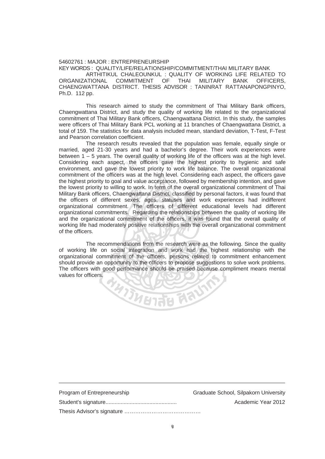## 54602761 : MAJOR : ENTREPRENEURSHIP

KEY WORDS : QUALITY/LIFE/RELATIONSHIP/COMMITMENT/THAI MILITARY BANK

ARTHITIKUL CHALEOUNKUL : QUALITY OF WORKING LIFE RELATED TO<br>ATIONAL COMMITMENT OF THAI MILITARY BANK OFFICERS. ORGANIZATIONAL COMMITMENT OF THAI MILITARY BANK OFFICERS, CHAENGWATTANA DISTRICT. THESIS ADVISOR : TANINRAT RATTANAPONGPINYO, Ph.D. 112 pp.

 This research aimed to study the commitment of Thai Military Bank officers, Chaengwattana District, and study the quality of working life related to the organizational commitment of Thai Military Bank officers, Chaengwattana District. In this study, the samples were officers of Thai Military Bank PCL working at 11 branches of Chaengwattana District, a total of 159. The statistics for data analysis included mean, standard deviation, T-Test, F-Test and Pearson correlation coefficient.

 The research results revealed that the population was female, equally single or married, aged 21-30 years and had a bachelor's degree. Their work experiences were between  $1 - 5$  years. The overall quality of working life of the officers was at the high level. Considering each aspect, the officers gave the highest priority to hygienic and safe environment, and gave the lowest priority to work life balance. The overall organizational commitment of the officers was at the high level. Considering each aspect, the officers gave the highest priority to goal and value acceptance, followed by membership intention, and gave the lowest priority to willing to work. In term of the overall organizational commitment of Thai Military Bank officers, Chaengwattana District, classified by personal factors, it was found that the officers of different sexes, ages, statuses and work experiences had indifferent organizational commitment. The officers of different educational levels had different organizational commitments. Regarding the relationships between the quality of working life and the organizational commitment of the officers, it was found that the overall quality of working life had moderately positive relationships with the overall organizational commitment of the officers. The overall quality of working life of the<br>spect, the officers gave the highest<br>ve the lowest priority to work life balar<br>ficers was at the high level. Considering

 The recommendations from the research were as the following. Since the quality of working life on social integration and work had the highest relationship with the organizational commitment of the officers, persons related to commitment enhancement should provide an opportunity to the officers to propose suggestions to solve work problems. The officers with good performance should be praised because compliment means mental values for officers. **PARTICLES 2010** 

| Program of Entrepreneurship | Graduate School, Silpakorn University |
|-----------------------------|---------------------------------------|
|                             | Academic Year 2012                    |
|                             |                                       |